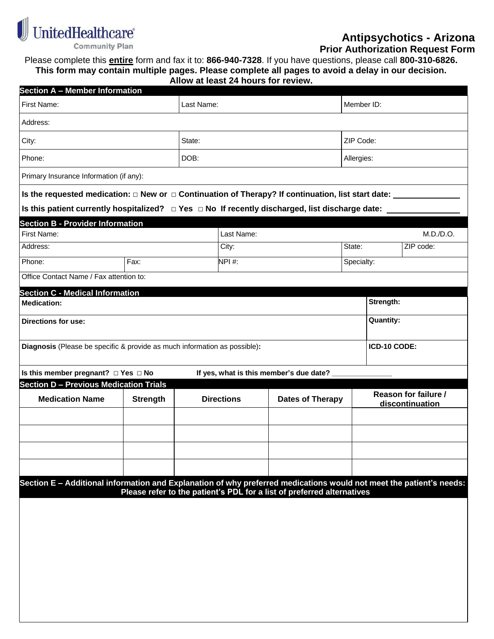

## **Antipsychotics - Arizona**

 **Prior Authorization Request Form**

Please complete this **entire** form and fax it to: **866-940-7328**. If you have questions, please call **800-310-6826. This form may contain multiple pages. Please complete all pages to avoid a delay in our decision.**

| Allow at least 24 hours for review. |  |
|-------------------------------------|--|
|-------------------------------------|--|

| <b>Section A - Member Information</b>                                                                               |                 |                   |            |                                                                        |                 |                  |                      |  |
|---------------------------------------------------------------------------------------------------------------------|-----------------|-------------------|------------|------------------------------------------------------------------------|-----------------|------------------|----------------------|--|
| First Name:                                                                                                         |                 | Last Name:        |            |                                                                        |                 | Member ID:       |                      |  |
| Address:                                                                                                            |                 |                   |            |                                                                        |                 |                  |                      |  |
| City:                                                                                                               |                 | State:            |            |                                                                        |                 | ZIP Code:        |                      |  |
| Phone:                                                                                                              |                 | DOB:              |            |                                                                        |                 | Allergies:       |                      |  |
| Primary Insurance Information (if any):                                                                             |                 |                   |            |                                                                        |                 |                  |                      |  |
| Is the requested medication: $\Box$ New or $\Box$ Continuation of Therapy? If continuation, list start date: $\Box$ |                 |                   |            |                                                                        |                 |                  |                      |  |
| Is this patient currently hospitalized? □ Yes □ No If recently discharged, list discharge date:                     |                 |                   |            |                                                                        |                 |                  |                      |  |
| <b>Section B - Provider Information</b>                                                                             |                 |                   |            |                                                                        |                 |                  |                      |  |
| First Name:                                                                                                         |                 |                   | Last Name: |                                                                        |                 |                  | M.D./D.O.            |  |
| Address:                                                                                                            |                 |                   | City:      |                                                                        | State:          |                  | ZIP code:            |  |
| Phone:                                                                                                              | Fax:            |                   | NPI#:      |                                                                        | Specialty:      |                  |                      |  |
| Office Contact Name / Fax attention to:                                                                             |                 |                   |            |                                                                        |                 |                  |                      |  |
| <b>Section C - Medical Information</b>                                                                              |                 |                   |            |                                                                        |                 |                  |                      |  |
| <b>Medication:</b>                                                                                                  |                 |                   |            |                                                                        |                 | Strength:        |                      |  |
| <b>Directions for use:</b>                                                                                          |                 |                   |            |                                                                        |                 | <b>Quantity:</b> |                      |  |
| Diagnosis (Please be specific & provide as much information as possible):                                           |                 |                   |            |                                                                        |                 | ICD-10 CODE:     |                      |  |
|                                                                                                                     |                 |                   |            |                                                                        |                 |                  |                      |  |
| Is this member pregnant? □ Yes □ No                                                                                 |                 |                   |            | If yes, what is this member's due date? _                              |                 |                  |                      |  |
| <b>Section D - Previous Medication Trials</b>                                                                       |                 |                   |            |                                                                        |                 |                  | Reason for failure / |  |
| <b>Medication Name</b>                                                                                              | <b>Strength</b> | <b>Directions</b> |            | <b>Dates of Therapy</b>                                                | discontinuation |                  |                      |  |
|                                                                                                                     |                 |                   |            |                                                                        |                 |                  |                      |  |
|                                                                                                                     |                 |                   |            |                                                                        |                 |                  |                      |  |
|                                                                                                                     |                 |                   |            |                                                                        |                 |                  |                      |  |
|                                                                                                                     |                 |                   |            |                                                                        |                 |                  |                      |  |
|                                                                                                                     |                 |                   |            |                                                                        |                 |                  |                      |  |
| Section E - Additional information and Explanation of why preferred medications would not meet the patient's needs: |                 |                   |            |                                                                        |                 |                  |                      |  |
|                                                                                                                     |                 |                   |            | Please refer to the patient's PDL for a list of preferred alternatives |                 |                  |                      |  |
|                                                                                                                     |                 |                   |            |                                                                        |                 |                  |                      |  |
|                                                                                                                     |                 |                   |            |                                                                        |                 |                  |                      |  |
|                                                                                                                     |                 |                   |            |                                                                        |                 |                  |                      |  |
|                                                                                                                     |                 |                   |            |                                                                        |                 |                  |                      |  |
|                                                                                                                     |                 |                   |            |                                                                        |                 |                  |                      |  |
|                                                                                                                     |                 |                   |            |                                                                        |                 |                  |                      |  |
|                                                                                                                     |                 |                   |            |                                                                        |                 |                  |                      |  |
|                                                                                                                     |                 |                   |            |                                                                        |                 |                  |                      |  |
|                                                                                                                     |                 |                   |            |                                                                        |                 |                  |                      |  |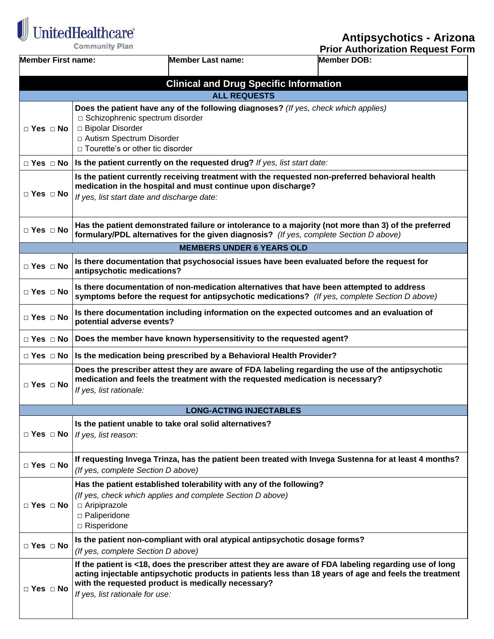$\begin{tabular}{|c|c|} \hline \multicolumn{3}{|c|}{\textbf{UnitedHealthcare}}\\ \hline \end{tabular}$ **Community Plan** 

**Antipsychotics - Arizona**

|                           | Community Plan                                                                                                                                                                                                                                                                                            |                                                              | <b>Prior Authorization Request Form</b>                                                                                                                                                        |  |  |
|---------------------------|-----------------------------------------------------------------------------------------------------------------------------------------------------------------------------------------------------------------------------------------------------------------------------------------------------------|--------------------------------------------------------------|------------------------------------------------------------------------------------------------------------------------------------------------------------------------------------------------|--|--|
| <b>Member First name:</b> |                                                                                                                                                                                                                                                                                                           | <b>Member Last name:</b>                                     | <b>Member DOB:</b>                                                                                                                                                                             |  |  |
|                           |                                                                                                                                                                                                                                                                                                           | <b>Clinical and Drug Specific Information</b>                |                                                                                                                                                                                                |  |  |
|                           |                                                                                                                                                                                                                                                                                                           | <b>ALL REQUESTS</b>                                          |                                                                                                                                                                                                |  |  |
| $\Box$ Yes $\Box$ No      | □ Schizophrenic spectrum disorder<br>□ Bipolar Disorder<br>□ Autism Spectrum Disorder<br>□ Tourette's or other tic disorder                                                                                                                                                                               |                                                              | Does the patient have any of the following diagnoses? (If yes, check which applies)                                                                                                            |  |  |
|                           | $\Box$ Yes $\Box$ No   Is the patient currently on the requested drug? If yes, list start date:                                                                                                                                                                                                           |                                                              |                                                                                                                                                                                                |  |  |
| $\Box$ Yes $\Box$ No      | If yes, list start date and discharge date:                                                                                                                                                                                                                                                               | medication in the hospital and must continue upon discharge? | Is the patient currently receiving treatment with the requested non-preferred behavioral health                                                                                                |  |  |
| $\Box$ Yes $\Box$ No      |                                                                                                                                                                                                                                                                                                           |                                                              | Has the patient demonstrated failure or intolerance to a majority (not more than 3) of the preferred<br>formulary/PDL alternatives for the given diagnosis? (If yes, complete Section D above) |  |  |
|                           |                                                                                                                                                                                                                                                                                                           | <b>MEMBERS UNDER 6 YEARS OLD</b>                             |                                                                                                                                                                                                |  |  |
| $\Box$ Yes $\Box$ No      | antipsychotic medications?                                                                                                                                                                                                                                                                                |                                                              | Is there documentation that psychosocial issues have been evaluated before the request for                                                                                                     |  |  |
| $\Box$ Yes $\Box$ No      | Is there documentation of non-medication alternatives that have been attempted to address<br>symptoms before the request for antipsychotic medications? (If yes, complete Section D above)                                                                                                                |                                                              |                                                                                                                                                                                                |  |  |
| $\Box$ Yes $\Box$ No      | Is there documentation including information on the expected outcomes and an evaluation of<br>potential adverse events?                                                                                                                                                                                   |                                                              |                                                                                                                                                                                                |  |  |
| $\Box$ Yes $\Box$ No      | Does the member have known hypersensitivity to the requested agent?                                                                                                                                                                                                                                       |                                                              |                                                                                                                                                                                                |  |  |
|                           | $\Box$ Yes $\Box$ No   Is the medication being prescribed by a Behavioral Health Provider?                                                                                                                                                                                                                |                                                              |                                                                                                                                                                                                |  |  |
| $\Box$ Yes $\Box$ No      | Does the prescriber attest they are aware of FDA labeling regarding the use of the antipsychotic<br>medication and feels the treatment with the requested medication is necessary?<br>If yes, list rationale:                                                                                             |                                                              |                                                                                                                                                                                                |  |  |
|                           |                                                                                                                                                                                                                                                                                                           | <b>LONG-ACTING INJECTABLES</b>                               |                                                                                                                                                                                                |  |  |
| $\Box$ Yes $\Box$ No      | If yes, list reason:                                                                                                                                                                                                                                                                                      | Is the patient unable to take oral solid alternatives?       |                                                                                                                                                                                                |  |  |
| $\Box$ Yes $\Box$ No      | (If yes, complete Section D above)                                                                                                                                                                                                                                                                        |                                                              | If requesting Invega Trinza, has the patient been treated with Invega Sustenna for at least 4 months?                                                                                          |  |  |
| $\Box$ Yes $\Box$ No      | Has the patient established tolerability with any of the following?<br>(If yes, check which applies and complete Section D above)<br>□ Aripiprazole<br>□ Paliperidone<br>□ Risperidone                                                                                                                    |                                                              |                                                                                                                                                                                                |  |  |
| $\Box$ Yes $\Box$ No      | (If yes, complete Section D above)                                                                                                                                                                                                                                                                        |                                                              | Is the patient non-compliant with oral atypical antipsychotic dosage forms?                                                                                                                    |  |  |
| $\Box$ Yes $\Box$ No      | If the patient is <18, does the prescriber attest they are aware of FDA labeling regarding use of long<br>acting injectable antipsychotic products in patients less than 18 years of age and feels the treatment<br>with the requested product is medically necessary?<br>If yes, list rationale for use: |                                                              |                                                                                                                                                                                                |  |  |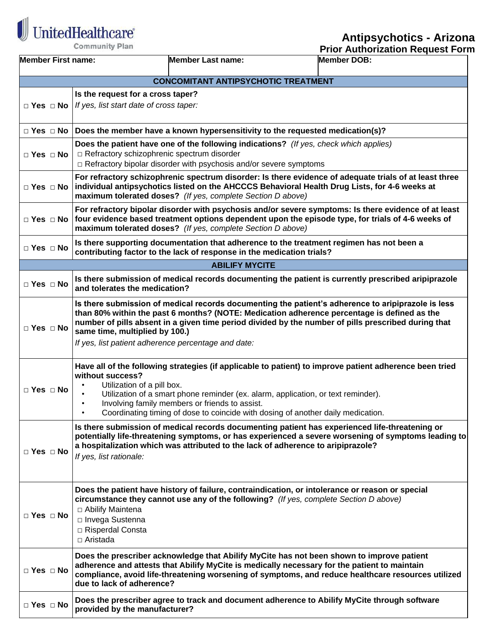

## **Antipsychotics - Arizona**

|                           | Community Plan                                                                                                                                                                                                                                                                                                               |                                                                                                                                                                                                                                                                                                                                    | <b>Prior Authorization Request Form</b> |  |  |
|---------------------------|------------------------------------------------------------------------------------------------------------------------------------------------------------------------------------------------------------------------------------------------------------------------------------------------------------------------------|------------------------------------------------------------------------------------------------------------------------------------------------------------------------------------------------------------------------------------------------------------------------------------------------------------------------------------|-----------------------------------------|--|--|
| <b>Member First name:</b> |                                                                                                                                                                                                                                                                                                                              | <b>Member Last name:</b>                                                                                                                                                                                                                                                                                                           | <b>Member DOB:</b>                      |  |  |
|                           |                                                                                                                                                                                                                                                                                                                              | <b>CONCOMITANT ANTIPSYCHOTIC TREATMENT</b>                                                                                                                                                                                                                                                                                         |                                         |  |  |
|                           | Is the request for a cross taper?                                                                                                                                                                                                                                                                                            |                                                                                                                                                                                                                                                                                                                                    |                                         |  |  |
|                           | $\Box$ Yes $\Box$ No   If yes, list start date of cross taper:                                                                                                                                                                                                                                                               |                                                                                                                                                                                                                                                                                                                                    |                                         |  |  |
|                           | $\Box$ Yes $\Box$ No   Does the member have a known hypersensitivity to the requested medication(s)?                                                                                                                                                                                                                         |                                                                                                                                                                                                                                                                                                                                    |                                         |  |  |
| $\Box$ Yes $\Box$ No      | Does the patient have one of the following indications? (If yes, check which applies)<br>□ Refractory schizophrenic spectrum disorder<br>$\Box$ Refractory bipolar disorder with psychosis and/or severe symptoms                                                                                                            |                                                                                                                                                                                                                                                                                                                                    |                                         |  |  |
| $\Box$ Yes $\Box$ No      | For refractory schizophrenic spectrum disorder: Is there evidence of adequate trials of at least three<br>individual antipsychotics listed on the AHCCCS Behavioral Health Drug Lists, for 4-6 weeks at<br>maximum tolerated doses? (If yes, complete Section D above)                                                       |                                                                                                                                                                                                                                                                                                                                    |                                         |  |  |
|                           | For refractory bipolar disorder with psychosis and/or severe symptoms: Is there evidence of at least<br>$\Box$ Yes $\Box$ No   four evidence based treatment options dependent upon the episode type, for trials of 4-6 weeks of<br>maximum tolerated doses? (If yes, complete Section D above)                              |                                                                                                                                                                                                                                                                                                                                    |                                         |  |  |
| $\Box$ Yes $\Box$ No      |                                                                                                                                                                                                                                                                                                                              | Is there supporting documentation that adherence to the treatment regimen has not been a<br>contributing factor to the lack of response in the medication trials?                                                                                                                                                                  |                                         |  |  |
|                           |                                                                                                                                                                                                                                                                                                                              | <b>ABILIFY MYCITE</b>                                                                                                                                                                                                                                                                                                              |                                         |  |  |
| $\Box$ Yes $\Box$ No      | Is there submission of medical records documenting the patient is currently prescribed aripiprazole<br>and tolerates the medication?                                                                                                                                                                                         |                                                                                                                                                                                                                                                                                                                                    |                                         |  |  |
| $\Box$ Yes $\Box$ No      | same time, multiplied by 100.)<br>If yes, list patient adherence percentage and date:                                                                                                                                                                                                                                        | Is there submission of medical records documenting the patient's adherence to aripiprazole is less<br>than 80% within the past 6 months? (NOTE: Medication adherence percentage is defined as the<br>number of pills absent in a given time period divided by the number of pills prescribed during that                           |                                         |  |  |
| $\Box$ Yes $\Box$ No      | without success?<br>Utilization of a pill box.                                                                                                                                                                                                                                                                               | Have all of the following strategies (if applicable to patient) to improve patient adherence been tried<br>Utilization of a smart phone reminder (ex. alarm, application, or text reminder).<br>Involving family members or friends to assist.<br>Coordinating timing of dose to coincide with dosing of another daily medication. |                                         |  |  |
| $\Box$ Yes $\Box$ No      | Is there submission of medical records documenting patient has experienced life-threatening or<br>potentially life-threatening symptoms, or has experienced a severe worsening of symptoms leading to<br>a hospitalization which was attributed to the lack of adherence to aripiprazole?<br>If yes, list rationale:         |                                                                                                                                                                                                                                                                                                                                    |                                         |  |  |
| $\Box$ Yes $\Box$ No      | Does the patient have history of failure, contraindication, or intolerance or reason or special<br>circumstance they cannot use any of the following? (If yes, complete Section D above)<br>□ Abilify Maintena<br>□ Invega Sustenna<br>□ Risperdal Consta<br>□ Aristada                                                      |                                                                                                                                                                                                                                                                                                                                    |                                         |  |  |
| $\Box$ Yes $\Box$ No      | Does the prescriber acknowledge that Abilify MyCite has not been shown to improve patient<br>adherence and attests that Abilify MyCite is medically necessary for the patient to maintain<br>compliance, avoid life-threatening worsening of symptoms, and reduce healthcare resources utilized<br>due to lack of adherence? |                                                                                                                                                                                                                                                                                                                                    |                                         |  |  |
| $\Box$ Yes $\Box$ No      | provided by the manufacturer?                                                                                                                                                                                                                                                                                                | Does the prescriber agree to track and document adherence to Abilify MyCite through software                                                                                                                                                                                                                                       |                                         |  |  |